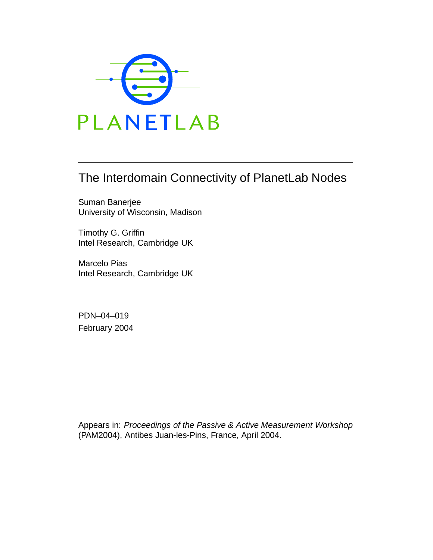

# The Interdomain Connectivity of PlanetLab Nodes

Suman Banerjee University of Wisconsin, Madison

Timothy G. Griffin Intel Research, Cambridge UK

Marcelo Pias Intel Research, Cambridge UK

PDN–04–019 February 2004

Appears in: Proceedings of the Passive & Active Measurement Workshop (PAM2004), Antibes Juan-les-Pins, France, April 2004.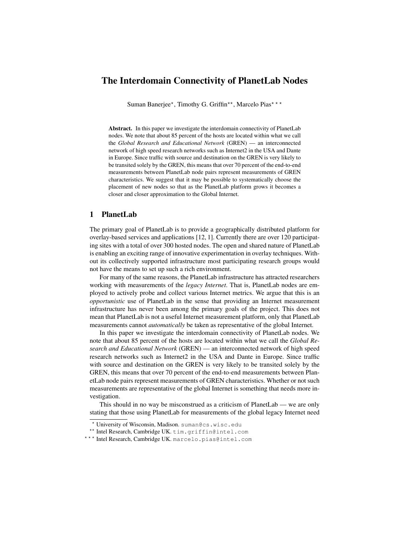# **The Interdomain Connectivity of PlanetLab Nodes**

Suman Banerjee\*, Timothy G. Griffin\*\*, Marcelo Pias\*\*\*

**Abstract.** In this paper we investigate the interdomain connectivity of PlanetLab nodes. We note that about 85 percent of the hosts are located within what we call the *Global Research and Educational Network* (GREN) — an interconnected network of high speed research networks such as Internet2 in the USA and Dante in Europe. Since traffic with source and destination on the GREN is very likely to be transited solely by the GREN, this meansthat over 70 percent of the end-to-end measurements between PlanetLab node pairs represent measurements of GREN characteristics. We suggest that it may be possible to systematically choose the placement of new nodes so that as the PlanetLab platform grows it becomes a closer and closer approximation to the Global Internet.

## **1 PlanetLab**

The primary goal of PlanetLab is to provide a geographically distributed platform for overlay-based services and applications [12, 1]. Currently there are over 120 participating sites with a total of over 300 hosted nodes. The open and shared nature of PlanetLab is enabling an exciting range of innovative experimentation in overlay techniques. Without its collectively supported infrastructure most participating research groups would not have the means to set up such a rich environment.

For many of the same reasons, the PlanetLab infrastructure has attracted researchers working with measurements of the *legacy Internet*. That is, PlanetLab nodes are employed to actively probe and collect various Internet metrics. We argue that this is an *opportunistic* use of PlanetLab in the sense that providing an Internet measurement infrastructure has never been among the primary goals of the project. This does not mean that PlanetLab is not a useful Internet measurement platform, only that PlanetLab measurements cannot *automatically* be taken as representative of the global Internet.

In this paper we investigate the interdomain connectivity of PlanetLab nodes. We note that about 85 percent of the hosts are located within what we call the *Global Research and Educational Network* (GREN) — an interconnected network of high speed research networks such as Internet2 in the USA and Dante in Europe. Since traffic with source and destination on the GREN is very likely to be transited solely by the GREN, this means that over 70 percent of the end-to-end measurements between PlanetLab node pairs represent measurements of GREN characteristics. Whether or not such measurements are representative of the global Internet is something that needs more investigation.

This should in no way be misconstrued as a criticism of PlanetLab — we are only stating that those using PlanetLab for measurements of the global legacy Internet need

\*\*\* Intel Research, Cambridge UK. marcelo.pias@intel.com

<sup>?</sup> University of Wisconsin, Madison. suman@cs.wisc.edu

<sup>\*\*</sup> Intel Research, Cambridge UK. tim.griffin@intel.com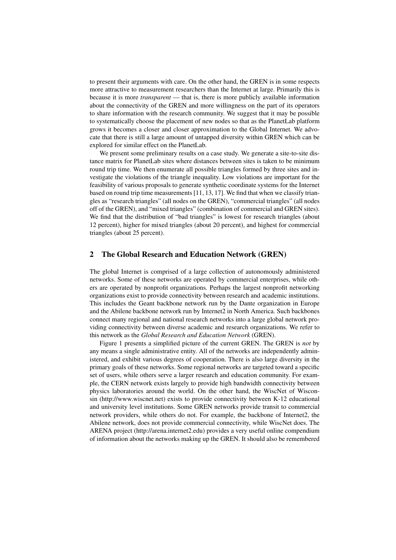to present their arguments with care. On the other hand, the GREN is in some respects more attractive to measurement researchers than the Internet at large. Primarily this is because it is more *transparent* — that is, there is more publicly available information about the connectivity of the GREN and more willingness on the part of its operators to share information with the research community. We suggest that it may be possible to systematically choose the placement of new nodes so that as the PlanetLab platform grows it becomes a closer and closer approximation to the Global Internet. We advocate that there is still a large amount of untapped diversity within GREN which can be explored for similar effect on the PlanetLab.

We present some preliminary results on a case study. We generate a site-to-site distance matrix for PlanetLab sites where distances between sites is taken to be minimum round trip time. We then enumerate all possible triangles formed by three sites and investigate the violations of the triangle inequality. Low violations are important for the feasibility of various proposals to generate synthetic coordinate systems for the Internet based on round trip time measurements [11, 13, 17]. We find that when we classify triangles as "research triangles" (all nodes on the GREN), "commercial triangles" (all nodes off of the GREN), and "mixed triangles" (combination of commercial and GREN sites). We find that the distribution of "bad triangles" is lowest for research triangles (about 12 percent), higher for mixed triangles (about 20 percent), and highest for commercial triangles (about 25 percent).

### **2 The Global Research and Education Network (GREN)**

The global Internet is comprised of a large collection of autonomously administered networks. Some of these networks are operated by commercial enterprises, while others are operated by nonprofit organizations. Perhaps the largest nonprofit networking organizations exist to provide connectivity between research and academic institutions. This includes the Geant backbone network run by the Dante organization in Europe and the Abilene backbone network run by Internet2 in North America. Such backbones connect many regional and national research networks into a large global network providing connectivity between diverse academic and research organizations. We refer to this network as the *Global Research and Education Network* (GREN).

Figure 1 presents a simplified picture of the current GREN. The GREN is *not* by any means a single administrative entity. All of the networks are independently administered, and exhibit various degrees of cooperation. There is also large diversity in the primary goals of these networks. Some regional networks are targeted toward a specific set of users, while others serve a larger research and education community. For example, the CERN network exists largely to provide high bandwidth connectivity between physics laboratories around the world. On the other hand, the WiscNet of Wisconsin (http://www.wiscnet.net) exists to provide connectivity between K-12 educational and university level institutions. Some GREN networks provide transit to commercial network providers, while others do not. For example, the backbone of Internet2, the Abilene network, does not provide commercial connectivity, while WiscNet does. The ARENA project (http://arena.internet2.edu) provides a very useful online compendium of information about the networks making up the GREN. It should also be remembered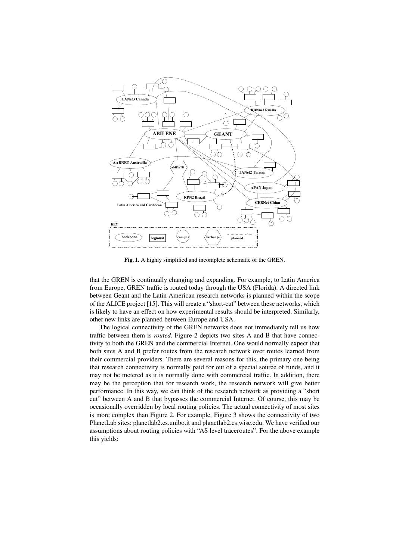

**Fig. 1.** A highly simplified and incomplete schematic of the GREN.

that the GREN is continually changing and expanding. For example, to Latin America from Europe, GREN traffic is routed today through the USA (Florida). A directed link between Geant and the Latin American research networks is planned within the scope of the ALICE project [15]. This will create a "short-cut" between these networks, which is likely to have an effect on how experimental results should be interpreted. Similarly, other new links are planned between Europe and USA.

The logical connectivity of the GREN networks does not immediately tell us how traffic between them is *routed*. Figure 2 depicts two sites A and B that have connectivity to both the GREN and the commercial Internet. One would normally expect that both sites A and B prefer routes from the research network over routes learned from their commercial providers. There are several reasons for this, the primary one being that research connectivity is normally paid for out of a special source of funds, and it may not be metered as it is normally done with commercial traffic. In addition, there may be the perception that for research work, the research network will give better performance. In this way, we can think of the research network as providing a "short cut" between A and B that bypasses the commercial Internet. Of course, this may be occasionally overridden by local routing policies. The actual connectivity of most sites is more complex than Figure 2. For example, Figure 3 shows the connectivity of two PlanetLab sites: planetlab2.cs.unibo.it and planetlab2.cs.wisc.edu. We have verified our assumptions about routing policies with "AS level traceroutes". For the above example this yields: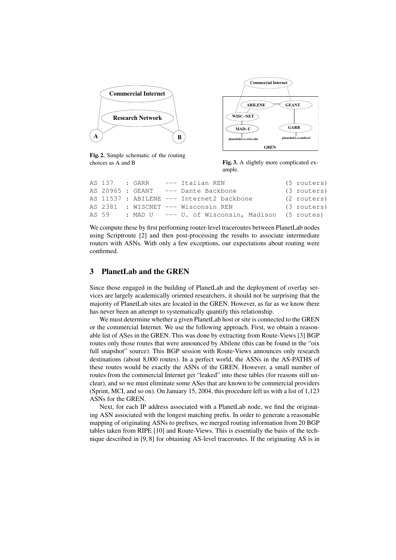



**Fig. 2.** Simple schematic of the routing choices as A and B

**Fig. 3.** A slightly more complicated example.

| AS 137 : GARR |  | --- Italian REN                                     | (5 routers) |
|---------------|--|-----------------------------------------------------|-------------|
|               |  | AS 20965 : GEANT --- Dante Backbone                 | (3 routers) |
|               |  | AS 11537 : ABILENE --- Internet2 backbone           | (2 routers) |
|               |  | AS 2381 : WISCNET --- Wisconsin REN                 | (3 routers) |
| AS 59         |  | : MAD $U$ $---$ U. of Wisconsin, Madison (5 routes) |             |

We compute these by first performing router-level traceroutes between PlanetLab nodes using Scriptroute [2] and then post-processing the results to associate intermediate routers with ASNs. With only a few exceptions, our expectations about routing were confirmed.

# **3 PlanetLab and the GREN**

Since those engaged in the building of PlanetLab and the deployment of overlay services are largely academically oriented researchers, it should not be surprising that the majority of PlanetLab sites are located in the GREN. However, as far as we know there has never been an attempt to systematically quantify this relationship.

We must determine whether a given PlanetLab host or site is connected to the GREN or the commercial Internet. We use the following approach. First, we obtain a reasonable list of ASes in the GREN. This was done by extracting from Route-Views [3] BGP routes only those routes that were announced by Abilene (this can be found in the "oix" full snapshot" source). This BGP session with Route-Views announces only research destinations (about 8,000 routes). In a perfect world, the ASNs in the AS-PATHS of these routes would be exactly the ASNs of the GREN. However, a small number of routes from the commercial Internet get "leaked" into these tables (for reasons still unclear), and so we must eliminate some ASes that are known to be commercial providers (Sprint, MCI, and so on). On January 15, 2004, this procedure left us with a list of 1,123 ASNs for the GREN.

Next, for each IP address associated with a PlanetLab node, we find the originating ASN associated with the longest matching prefix. In order to generate a reasonable mapping of originating ASNs to prefixes, we merged routing information from 20 BGP tables taken from RIPE [10] and Route-Views. This is essentially the basis of the technique described in [9, 8] for obtaining AS-level traceroutes. If the originating AS is in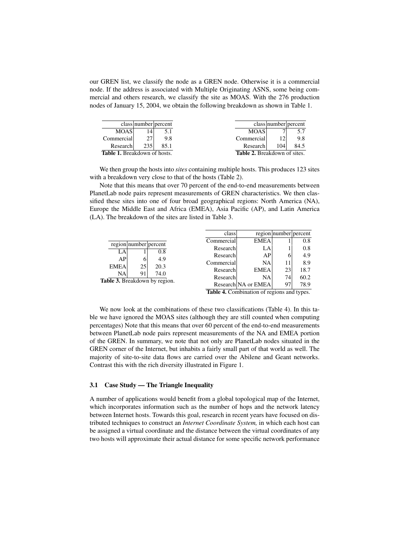our GREN list, we classify the node as a GREN node. Otherwise it is a commercial node. If the address is associated with Multiple Originating ASNS, some being commercial and others research, we classify the site as MOAS. With the 276 production nodes of January 15, 2004, we obtain the following breakdown as shown in Table 1.

|                                     | class number percent |      |             | class number percent                |      |
|-------------------------------------|----------------------|------|-------------|-------------------------------------|------|
| <b>MOAS</b>                         |                      |      | <b>MOAS</b> |                                     |      |
| Commercial                          | 27                   | 9.8  | Commercial  |                                     | 9.8  |
| Research                            | 2351                 | 85.1 | Research    | 1041                                | 84.5 |
| <b>Table 1.</b> Breakdown of hosts. |                      |      |             | <b>Table 2.</b> Breakdown of sites. |      |

We then group the hosts into *sites* containing multiple hosts. This produces 123 sites with a breakdown very close to that of the hosts (Table 2).

Note that this means that over 70 percent of the end-to-end measurements between PlanetLab node pairs represent measurements of GREN characteristics. We then classified these sites into one of four broad geographical regions: North America (NA), Europe the Middle East and Africa (EMEA), Asia Pacific (AP), and Latin America (LA). The breakdown of the sites are listed in Table 3.

|                                      |                       |      | class      |                     | region number percent |      |
|--------------------------------------|-----------------------|------|------------|---------------------|-----------------------|------|
|                                      | region number percent |      | Commercial | <b>EMEA</b>         |                       | 0.8  |
|                                      |                       |      | Research   | LA                  |                       | 0.8  |
| LA                                   |                       | 0.8  | Research   | AP                  |                       | 4.9  |
| AP                                   |                       | 4.9  | Commercial | NA                  | п                     | 8.9  |
| <b>EMEA</b>                          | 25                    | 20.3 | Research   | <b>EMEA</b>         | 23                    | 18.7 |
| <b>NA</b>                            | 91                    | 74.0 | Research   | NA                  | 74                    | 60.2 |
| <b>Table 3.</b> Breakdown by region. |                       |      |            | Research NA or EMEA | 97                    | 78.9 |
|                                      |                       |      | --------   |                     |                       |      |

**Table 4.** Combination of regions and types.

We now look at the combinations of these two classifications (Table 4). In this table we have ignored the MOAS sites (although they are still counted when computing percentages) Note that this means that over 60 percent of the end-to-end measurements between PlanetLab node pairs represent measurements of the NA and EMEA portion of the GREN. In summary, we note that not only are PlanetLab nodes situated in the GREN corner of the Internet, but inhabits a fairly small part of that world as well. The majority of site-to-site data flows are carried over the Abilene and Geant networks. Contrast this with the rich diversity illustrated in Figure 1.

#### **3.1 Case Study — The Triangle Inequality**

A number of applications would benefit from a global topological map of the Internet, which incorporates information such as the number of hops and the network latency between Internet hosts. Towards this goal, research in recent years have focused on distributed techniques to construct an *Internet Coordinate System,* in which each host can be assigned a virtual coordinate and the distance between the virtual coordinates of any two hosts will approximate their actual distance for some specific network performance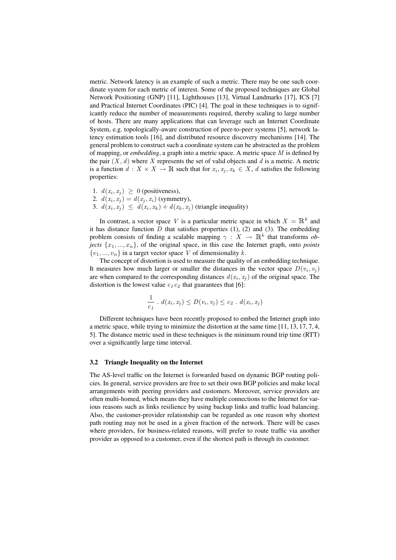metric. Network latency is an example of such a metric. There may be one such coordinate system for each metric of interest. Some of the proposed techniques are Global Network Positioning (GNP) [11], Lighthouses [13], Virtual Landmarks [17], ICS [7] and Practical Internet Coordinates (PIC) [4]. The goal in these techniques is to significantly reduce the number of measurements required, thereby scaling to large number of hosts. There are many applications that can leverage such an Internet Coordinate System, e.g. topologically-aware construction of peer-to-peer systems [5], network latency estimation tools [16], and distributed resource discovery mechanisms [14]. The general problem to construct such a coordinate system can be abstracted as the problem of mapping, or *embedding*, a graph into a metric space. A metric space M is defined by the pair  $(X, d)$  where X represents the set of valid objects and d is a metric. A metric is a function  $d: X \times X \to \mathbb{R}$  such that for  $x_i, x_j, x_k \in X$ , d satisfies the following properties:

1.  $d(x_i, x_j) \geq 0$  (positiveness), 2.  $d(x_i, x_j) = d(x_j, x_i)$  (symmetry),

3.  $d(x_i, x_j) \leq d(x_i, x_k) + d(x_k, x_j)$  (triangle inequality)

In contrast, a vector space V is a particular metric space in which  $X = \mathbb{R}^k$  and it has distance function  $\overline{D}$  that satisfies properties (1), (2) and (3). The embedding problem consists of finding a scalable mapping  $\gamma : X \to \mathbb{R}^k$  that transforms *objects*  $\{x_1, ..., x_n\}$ , of the original space, in this case the Internet graph, onto *points*  $\{v_1, ..., v_n\}$  in a target vector space V of dimensionality k.

The concept of distortion is used to measure the quality of an embedding technique. It measures how much larger or smaller the distances in the vector space  $D(v_i, v_j)$ are when compared to the corresponding distances  $d(x_i, x_j)$  of the original space. The distortion is the lowest value  $c_1 c_2$  that guarantees that [6]:

$$
\frac{1}{c_1} \cdot d(x_i, x_j) \le D(v_i, v_j) \le c_2 \cdot d(x_i, x_j)
$$

Different techniques have been recently proposed to embed the Internet graph into a metric space, while trying to minimize the distortion at the same time [11, 13, 17, 7, 4, 5]. The distance metric used in these techniques is the minimum round trip time (RTT) over a significantly large time interval.

#### **3.2 Triangle Inequality on the Internet**

The AS-level traffic on the Internet is forwarded based on dynamic BGP routing policies. In general, service providers are free to set their own BGP policies and make local arrangements with peering providers and customers. Moreover, service providers are often multi-homed, which means they have multiple connections to the Internet for various reasons such as links resilience by using backup links and traffic load balancing. Also, the customer-provider relationship can be regarded as one reason why shortest path routing may not be used in a given fraction of the network. There will be cases where providers, for business-related reasons, will prefer to route traffic via another provider as opposed to a customer, even if the shortest path is through its customer.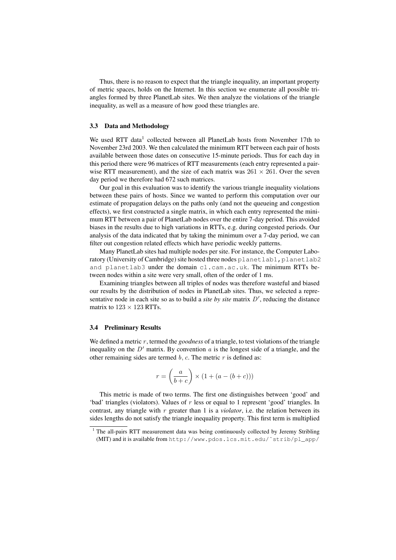Thus, there is no reason to expect that the triangle inequality, an important property of metric spaces, holds on the Internet. In this section we enumerate all possible triangles formed by three PlanetLab sites. We then analyze the violations of the triangle inequality, as well as a measure of how good these triangles are.

#### **3.3 Data and Methodology**

We used RTT data<sup>1</sup> collected between all PlanetLab hosts from November 17th to November 23rd 2003. We then calculated the minimum RTT between each pair of hosts available between those dates on consecutive 15-minute periods. Thus for each day in this period there were 96 matrices of RTT measurements (each entry represented a pairwise RTT measurement), and the size of each matrix was  $261 \times 261$ . Over the seven day period we therefore had 672 such matrices.

Our goal in this evaluation was to identify the various triangle inequality violations between these pairs of hosts. Since we wanted to perform this computation over our estimate of propagation delays on the paths only (and not the queueing and congestion effects), we first constructed a single matrix, in which each entry represented the minimum RTT between a pair of PlanetLab nodes over the entire 7-day period. This avoided biases in the results due to high variations in RTTs, e.g. during congested periods. Our analysis of the data indicated that by taking the minimum over a 7-day period, we can filter out congestion related effects which have periodic weekly patterns.

Many PlanetLab sites had multiple nodes per site. For instance, the Computer Laboratory (University of Cambridge) site hosted three nodes planetlab1, planetlab2 and planetlab3 under the domain cl.cam.ac.uk. The minimum RTTs between nodes within a site were very small, often of the order of 1 ms.

Examining triangles between all triples of nodes was therefore wasteful and biased our results by the distribution of nodes in PlanetLab sites. Thus, we selected a representative node in each site so as to build a *site by site* matrix  $D'$ , reducing the distance matrix to  $123 \times 123$  RTTs.

#### **3.4 Preliminary Results**

We defined a metric r, termed the *goodness* of a triangle, to test violations of the triangle inequality on the  $D'$  matrix. By convention  $a$  is the longest side of a triangle, and the other remaining sides are termed  $b, c$ . The metric  $r$  is defined as:

$$
r = \left(\frac{a}{b+c}\right) \times \left(1 + (a - (b+c))\right)
$$

This metric is made of two terms. The first one distinguishes between 'good' and 'bad' triangles (violators). Values of r less or equal to 1 represent 'good' triangles. In contrast, any triangle with r greater than 1 is a *violator*, i.e. the relation between its sides lengths do not satisfy the triangle inequality property. This first term is multiplied

<sup>&</sup>lt;sup>1</sup> The all-pairs RTT measurement data was being continuously collected by Jeremy Stribling (MIT) and it is available from http://www.pdos.lcs.mit.edu/˜strib/pl\_app/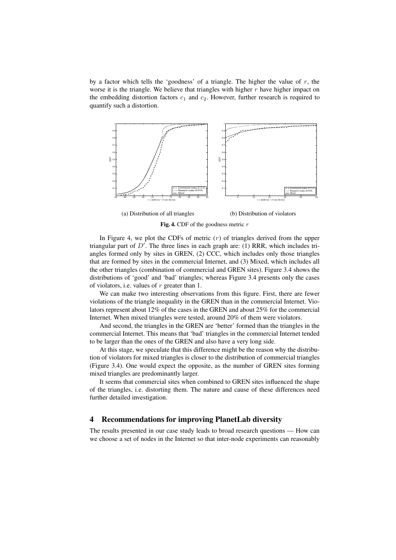by a factor which tells the 'goodness' of a triangle. The higher the value of  $r$ , the worse it is the triangle. We believe that triangles with higher  $r$  have higher impact on the embedding distortion factors  $c_1$  and  $c_2$ . However, further research is required to quantify such a distortion.



**Fig. 4.** CDF of the goodness metric r

In Figure 4, we plot the CDFs of metric  $(r)$  of triangles derived from the upper triangular part of  $D'$ . The three lines in each graph are: (1) RRR, which includes triangles formed only by sites in GREN, (2) CCC, which includes only those triangles that are formed by sites in the commercial Internet, and (3) Mixed, which includes all the other triangles (combination of commercial and GREN sites). Figure 3.4 shows the distributions of 'good' and 'bad' triangles; whereas Figure 3.4 presents only the cases of violators, i.e. values of  $r$  greater than 1.

We can make two interesting observations from this figure. First, there are fewer violations of the triangle inequality in the GREN than in the commercial Internet. Violators represent about 12% of the cases in the GREN and about 25% for the commercial Internet. When mixed triangles were tested, around 20% of them were violators.

And second, the triangles in the GREN are 'better' formed than the triangles in the commercial Internet. This means that 'bad' triangles in the commercial Internet tended to be larger than the ones of the GREN and also have a very long side.

At this stage, we speculate that this difference might be the reason why the distribution of violators for mixed triangles is closer to the distribution of commercial triangles (Figure 3.4). One would expect the opposite, as the number of GREN sites forming mixed triangles are predominantly larger.

It seems that commercial sites when combined to GREN sites influenced the shape of the triangles, i.e. distorting them. The nature and cause of these differences need further detailed investigation.

# **4 Recommendations for improving PlanetLab diversity**

The results presented in our case study leads to broad research questions — How can we choose a set of nodes in the Internet so that inter-node experiments can reasonably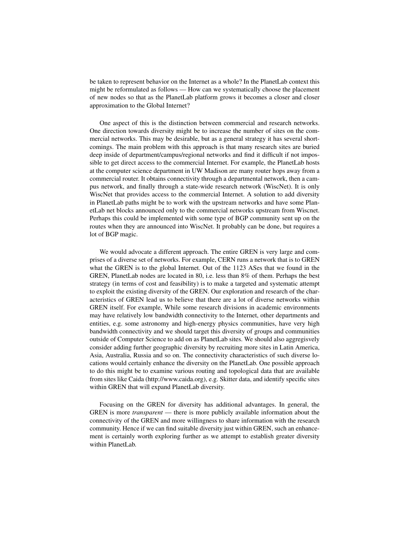be taken to represent behavior on the Internet as a whole? In the PlanetLab context this might be reformulated as follows — How can we systematically choose the placement of new nodes so that as the PlanetLab platform grows it becomes a closer and closer approximation to the Global Internet?

One aspect of this is the distinction between commercial and research networks. One direction towards diversity might be to increase the number of sites on the commercial networks. This may be desirable, but as a general strategy it has several shortcomings. The main problem with this approach is that many research sites are buried deep inside of department/campus/regional networks and find it difficult if not impossible to get direct access to the commercial Internet. For example, the PlanetLab hosts at the computer science department in UW Madison are many router hops away from a commercial router. It obtains connectivity through a departmental network, then a campus network, and finally through a state-wide research network (WiscNet). It is only WiscNet that provides access to the commercial Internet. A solution to add diversity in PlanetLab paths might be to work with the upstream networks and have some PlanetLab net blocks announced only to the commercial networks upstream from Wiscnet. Perhaps this could be implemented with some type of BGP community sent up on the routes when they are announced into WiscNet. It probably can be done, but requires a lot of BGP magic.

We would advocate a different approach. The entire GREN is very large and comprises of a diverse set of networks. For example, CERN runs a network that is to GREN what the GREN is to the global Internet. Out of the 1123 ASes that we found in the GREN, PlanetLab nodes are located in 80, i.e. less than 8% of them. Perhaps the best strategy (in terms of cost and feasibility) is to make a targeted and systematic attempt to exploit the existing diversity of the GREN. Our exploration and research of the characteristics of GREN lead us to believe that there are a lot of diverse networks within GREN itself. For example, While some research divisions in academic environments may have relatively low bandwidth connectivity to the Internet, other departments and entities, e.g. some astronomy and high-energy physics communities, have very high bandwidth connectivity and we should target this diversity of groups and communities outside of Computer Science to add on as PlanetLab sites. We should also aggregisvely consider adding further geographic diversity by recruiting more sites in Latin America, Asia, Australia, Russia and so on. The connectivity characteristics of such diverse locations would certainly enhance the diversity on the PlanetLab. One possible approach to do this might be to examine various routing and topological data that are available from sites like Caida (http://www.caida.org), e.g. Skitter data, and identify specific sites within GREN that will expand PlanetLab diversity.

Focusing on the GREN for diversity has additional advantages. In general, the GREN is more *transparent* — there is more publicly available information about the connectivity of the GREN and more willingness to share information with the research community. Hence if we can find suitable diversity just within GREN, such an enhancement is certainly worth exploring further as we attempt to establish greater diversity within PlanetLab.